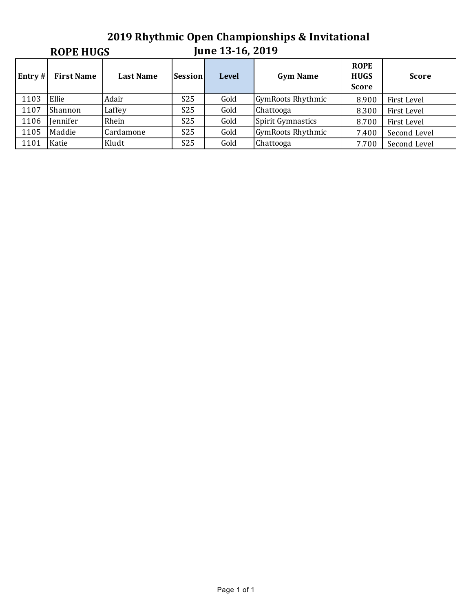### **2019 Rhythmic Open Championships & Invitational June 13-16, 2019 ROPE HUGS Entry** # | First Name | Last Name | Session | Level | Gym Name **ROPE HUGS Score Score** 1103 Ellie Adair S25 Gold GymRoots Rhythmic 8.900 First Level 1107 Shannon Laffey 19825 Gold Chattooga 1107 8.300 First Level 1106 Jennifer Rhein | S25 Gold Spirit Gymnastics | 8.700 First Level 1105 Maddie Cardamone S25 Gold GymRoots Rhythmic 7.400 Second Level 1101 Katie Kludt | S25 Gold Chattooga | 7.700 Second Level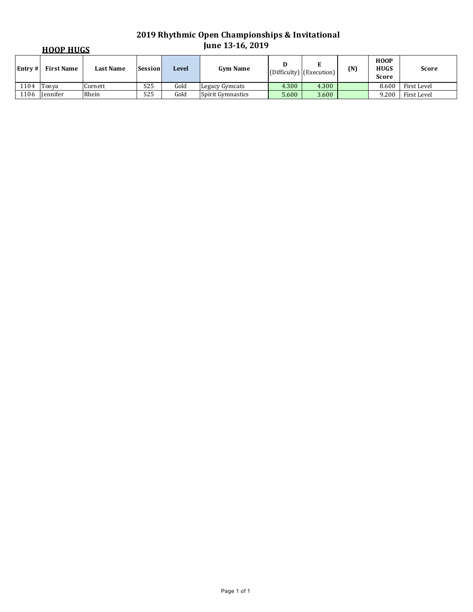| <b>HOOP HUGS</b> |                 |                  |                 |       | <b>June 13-16, 2019</b>  |       |                                           |     |                                            |              |
|------------------|-----------------|------------------|-----------------|-------|--------------------------|-------|-------------------------------------------|-----|--------------------------------------------|--------------|
| Entrv#           | First Name      | <b>Last Name</b> | <b>Session</b>  | Level | <b>Gym Name</b>          |       | E<br>$ $ (Difficulty) $ $ (Execution) $ $ | (N) | <b>HOOP</b><br><b>HUGS</b><br><b>Score</b> | <b>Score</b> |
| 1104             | Tonva           | Cornett          | S <sub>25</sub> | Gold  | Legacy Gymcats           | 4.300 | 4.300                                     |     | 8.600                                      | First Level  |
| 1106             | <b>Iennifer</b> | Rhein            | S <sub>25</sub> | Gold  | <b>Spirit Gymnastics</b> | 5.600 | 3.600                                     |     | 9.200                                      | First Level  |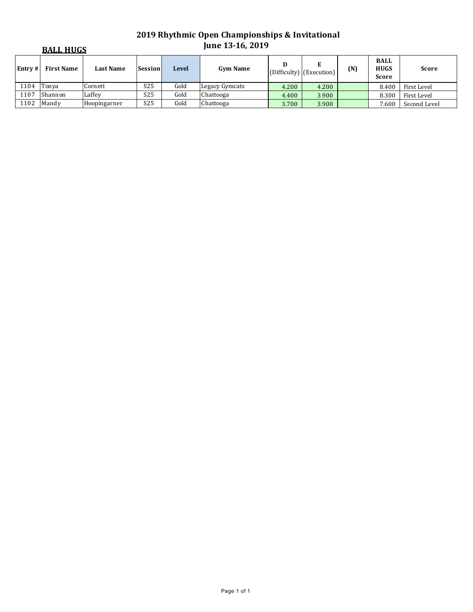|        | <b>BALL HUGS</b>  |                  |                 |              | <b>June 13-16, 2019</b> |       |                                 |     |                                            |              |
|--------|-------------------|------------------|-----------------|--------------|-------------------------|-------|---------------------------------|-----|--------------------------------------------|--------------|
| Entrv# | <b>First Name</b> | <b>Last Name</b> | Session         | <b>Level</b> | <b>Gym Name</b>         | D     | Е<br>$(Difficulty)$ (Execution) | (N) | <b>BALL</b><br><b>HUGS</b><br><b>Score</b> | <b>Score</b> |
| 1104   | Tonva             | Cornett          | S <sub>25</sub> | Gold         | Legacy Gymcats          | 4.200 | 4.200                           |     | 8.400                                      | First Level  |
| 1107   | Shannon           | Laffey           | S <sub>25</sub> | Gold         | Chattooga               | 4.400 | 3.900                           |     | 8.300                                      | First Level  |
| 1102   | Mandy             | Hoopingarner     | S <sub>25</sub> | Gold         | Chattooga               | 3.700 | 3.900                           |     | 7.600                                      | Second Level |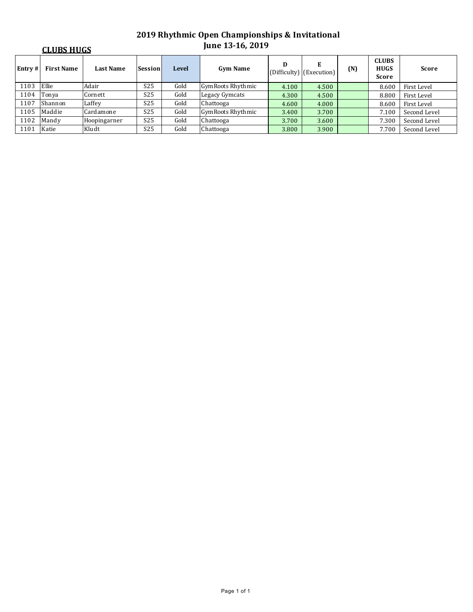|        | <b>CLUBS HUGS</b> |                  |                 |              | <b>June 13-16, 2019</b>  |       |                                 |     |                                             |              |
|--------|-------------------|------------------|-----------------|--------------|--------------------------|-------|---------------------------------|-----|---------------------------------------------|--------------|
| Entry# | <b>First Name</b> | <b>Last Name</b> | <b>Session</b>  | <b>Level</b> | <b>Gym Name</b>          | D     | E<br>$(Difficulty)$ (Execution) | (N) | <b>CLUBS</b><br><b>HUGS</b><br><b>Score</b> | <b>Score</b> |
| 1103   | Ellie             | Adair            | S <sub>25</sub> | Gold         | <b>GymRoots Rhythmic</b> | 4.100 | 4.500                           |     | 8.600                                       | First Level  |
| 1104   | Tonya             | Cornett          | S <sub>25</sub> | Gold         | Legacy Gymcats           | 4.300 | 4.500                           |     | 8.800                                       | First Level  |
| 1107   | Shannon           | Laffey           | S <sub>25</sub> | Gold         | Chattooga                | 4.600 | 4.000                           |     | 8.600                                       | First Level  |
| 1105   | Maddie            | Cardamone        | S <sub>25</sub> | Gold         | <b>GymRoots Rhythmic</b> | 3.400 | 3.700                           |     | 7.100                                       | Second Level |
| 1102   | Mandy             | Hoopingarner     | S <sub>25</sub> | Gold         | Chattooga                | 3.700 | 3.600                           |     | 7.300                                       | Second Level |
| 1101   | Katie             | Kludt            | S <sub>25</sub> | Gold         | Chattooga                | 3.800 | 3.900                           |     | 7.700                                       | Second Level |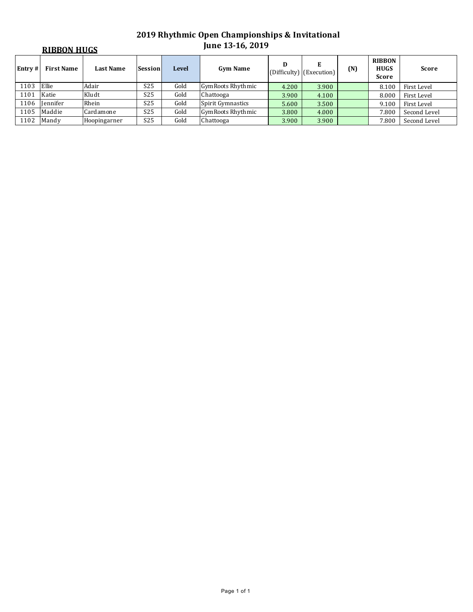|        | <b>RIBBON HUGS</b> |                  |                 |       | <b>une 13-16, 2019</b>   |       |                               |     |                                              |              |
|--------|--------------------|------------------|-----------------|-------|--------------------------|-------|-------------------------------|-----|----------------------------------------------|--------------|
| Entry# | <b>First Name</b>  | <b>Last Name</b> | <b>Session</b>  | Level | <b>Gym Name</b>          | D     | Е<br>(Difficulty) (Execution) | (N) | <b>RIBBON</b><br><b>HUGS</b><br><b>Score</b> | <b>Score</b> |
| 1103   | Ellie              | Adair            | S <sub>25</sub> | Gold  | GymRoots Rhythmic        | 4.200 | 3.900                         |     | 8.100                                        | First Level  |
| 1101   | Katie              | Kludt            | S <sub>25</sub> | Gold  | Chattooga                | 3.900 | 4.100                         |     | 8.000                                        | First Level  |
| 1106   | <b>Iennifer</b>    | Rhein            | S <sub>25</sub> | Gold  | Spirit Gymnastics        | 5.600 | 3.500                         |     | 9.100                                        | First Level  |
| 1105   | Maddie             | Cardamone        | S <sub>25</sub> | Gold  | <b>GymRoots Rhythmic</b> | 3.800 | 4.000                         |     | 7.800                                        | Second Level |
| 1102   | Mandy              | Hoopingarner     | S <sub>25</sub> | Gold  | Chattooga                | 3.900 | 3.900                         |     | 7.800                                        | Second Level |